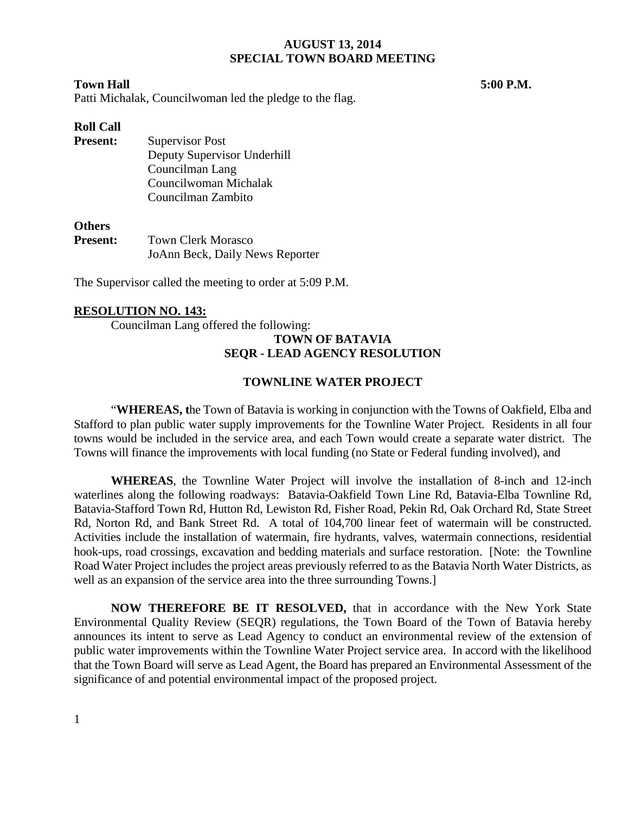#### **Town Hall 5:00 P.M.**

Patti Michalak, Councilwoman led the pledge to the flag.

### **Roll Call**

**Present:** Supervisor Post Deputy Supervisor Underhill Councilman Lang Councilwoman Michalak Councilman Zambito

### **Others**

**Present:** Town Clerk Morasco JoAnn Beck, Daily News Reporter

The Supervisor called the meeting to order at 5:09 P.M.

### **RESOLUTION NO. 143:**

Councilman Lang offered the following:

## **TOWN OF BATAVIA SEQR - LEAD AGENCY RESOLUTION**

#### **TOWNLINE WATER PROJECT**

"**WHEREAS, t**he Town of Batavia is working in conjunction with the Towns of Oakfield, Elba and Stafford to plan public water supply improvements for the Townline Water Project. Residents in all four towns would be included in the service area, and each Town would create a separate water district. The Towns will finance the improvements with local funding (no State or Federal funding involved), and

**WHEREAS**, the Townline Water Project will involve the installation of 8-inch and 12-inch waterlines along the following roadways: Batavia-Oakfield Town Line Rd, Batavia-Elba Townline Rd, Batavia-Stafford Town Rd, Hutton Rd, Lewiston Rd, Fisher Road, Pekin Rd, Oak Orchard Rd, State Street Rd, Norton Rd, and Bank Street Rd. A total of 104,700 linear feet of watermain will be constructed. Activities include the installation of watermain, fire hydrants, valves, watermain connections, residential hook-ups, road crossings, excavation and bedding materials and surface restoration. [Note: the Townline Road Water Project includes the project areas previously referred to as the Batavia North Water Districts, as well as an expansion of the service area into the three surrounding Towns.]

**NOW THEREFORE BE IT RESOLVED,** that in accordance with the New York State Environmental Quality Review (SEQR) regulations, the Town Board of the Town of Batavia hereby announces its intent to serve as Lead Agency to conduct an environmental review of the extension of public water improvements within the Townline Water Project service area. In accord with the likelihood that the Town Board will serve as Lead Agent, the Board has prepared an Environmental Assessment of the significance of and potential environmental impact of the proposed project.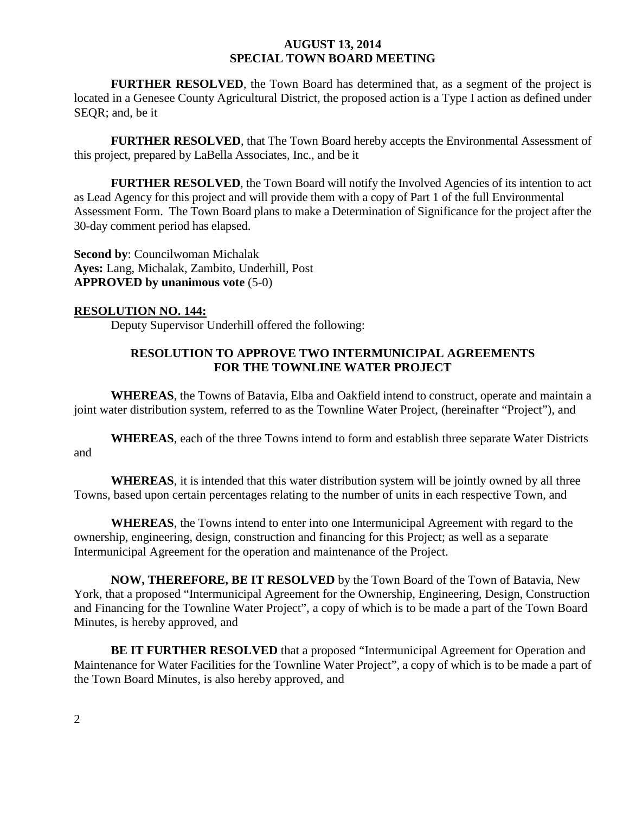**FURTHER RESOLVED**, the Town Board has determined that, as a segment of the project is located in a Genesee County Agricultural District, the proposed action is a Type I action as defined under SEQR; and, be it

**FURTHER RESOLVED**, that The Town Board hereby accepts the Environmental Assessment of this project, prepared by LaBella Associates, Inc., and be it

**FURTHER RESOLVED**, the Town Board will notify the Involved Agencies of its intention to act as Lead Agency for this project and will provide them with a copy of Part 1 of the full Environmental Assessment Form. The Town Board plans to make a Determination of Significance for the project after the 30-day comment period has elapsed.

**Second by**: Councilwoman Michalak **Ayes:** Lang, Michalak, Zambito, Underhill, Post **APPROVED by unanimous vote** (5-0)

### **RESOLUTION NO. 144:**

Deputy Supervisor Underhill offered the following:

# **RESOLUTION TO APPROVE TWO INTERMUNICIPAL AGREEMENTS FOR THE TOWNLINE WATER PROJECT**

**WHEREAS**, the Towns of Batavia, Elba and Oakfield intend to construct, operate and maintain a joint water distribution system, referred to as the Townline Water Project, (hereinafter "Project"), and

**WHEREAS**, each of the three Towns intend to form and establish three separate Water Districts and

**WHEREAS**, it is intended that this water distribution system will be jointly owned by all three Towns, based upon certain percentages relating to the number of units in each respective Town, and

**WHEREAS**, the Towns intend to enter into one Intermunicipal Agreement with regard to the ownership, engineering, design, construction and financing for this Project; as well as a separate Intermunicipal Agreement for the operation and maintenance of the Project.

**NOW, THEREFORE, BE IT RESOLVED** by the Town Board of the Town of Batavia, New York, that a proposed "Intermunicipal Agreement for the Ownership, Engineering, Design, Construction and Financing for the Townline Water Project", a copy of which is to be made a part of the Town Board Minutes, is hereby approved, and

**BE IT FURTHER RESOLVED** that a proposed "Intermunicipal Agreement for Operation and Maintenance for Water Facilities for the Townline Water Project", a copy of which is to be made a part of the Town Board Minutes, is also hereby approved, and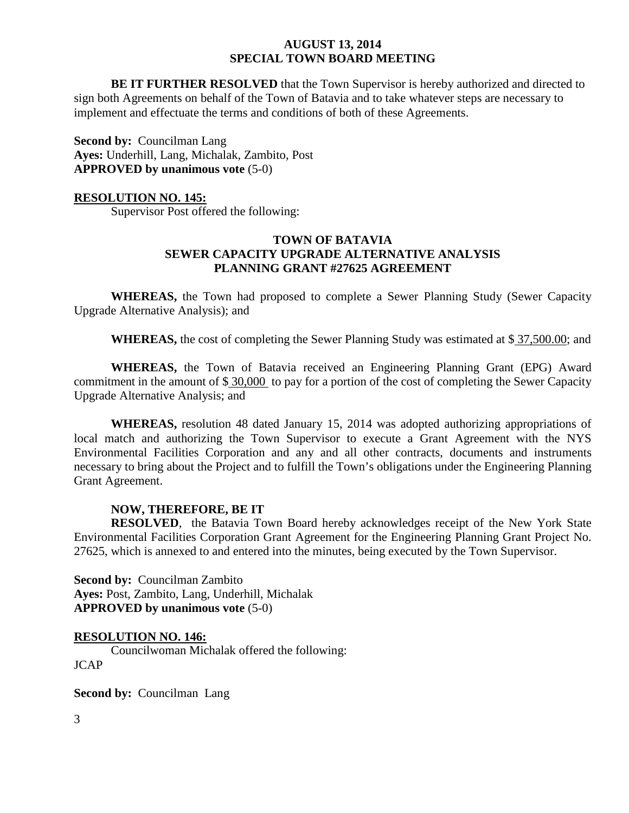**BE IT FURTHER RESOLVED** that the Town Supervisor is hereby authorized and directed to sign both Agreements on behalf of the Town of Batavia and to take whatever steps are necessary to implement and effectuate the terms and conditions of both of these Agreements.

**Second by: Councilman Lang Ayes:** Underhill, Lang, Michalak, Zambito, Post **APPROVED by unanimous vote** (5-0)

### **RESOLUTION NO. 145:**

Supervisor Post offered the following:

## **TOWN OF BATAVIA SEWER CAPACITY UPGRADE ALTERNATIVE ANALYSIS PLANNING GRANT #27625 AGREEMENT**

**WHEREAS,** the Town had proposed to complete a Sewer Planning Study (Sewer Capacity Upgrade Alternative Analysis); and

**WHEREAS,** the cost of completing the Sewer Planning Study was estimated at \$ 37,500.00; and

**WHEREAS,** the Town of Batavia received an Engineering Planning Grant (EPG) Award commitment in the amount of \$ 30,000 to pay for a portion of the cost of completing the Sewer Capacity Upgrade Alternative Analysis; and

**WHEREAS,** resolution 48 dated January 15, 2014 was adopted authorizing appropriations of local match and authorizing the Town Supervisor to execute a Grant Agreement with the NYS Environmental Facilities Corporation and any and all other contracts, documents and instruments necessary to bring about the Project and to fulfill the Town's obligations under the Engineering Planning Grant Agreement.

## **NOW, THEREFORE, BE IT**

**RESOLVED**, the Batavia Town Board hereby acknowledges receipt of the New York State Environmental Facilities Corporation Grant Agreement for the Engineering Planning Grant Project No. 27625, which is annexed to and entered into the minutes, being executed by the Town Supervisor.

**Second by:** Councilman Zambito **Ayes:** Post, Zambito, Lang, Underhill, Michalak **APPROVED by unanimous vote** (5-0)

#### **RESOLUTION NO. 146:**

Councilwoman Michalak offered the following: JCAP

**Second by: Councilman Lang**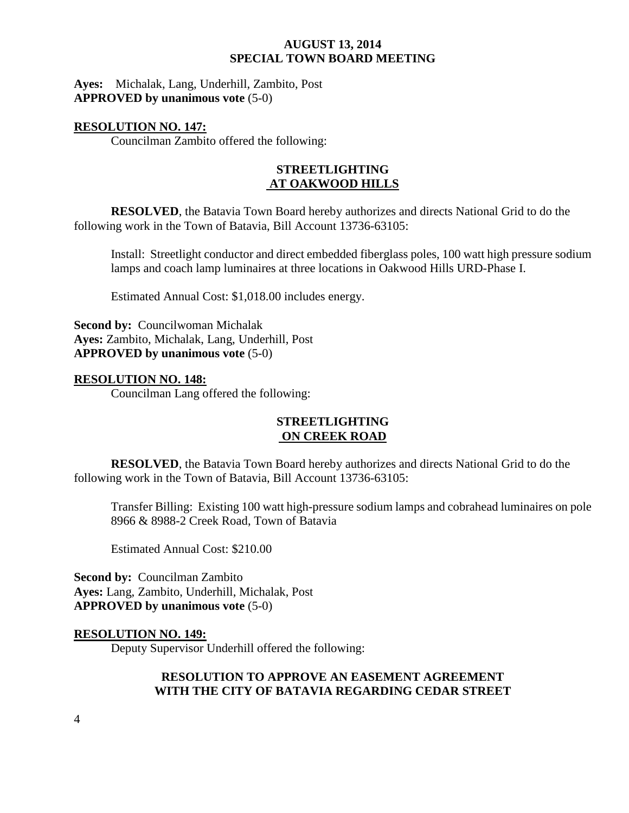**Ayes:** Michalak, Lang, Underhill, Zambito, Post **APPROVED by unanimous vote** (5-0)

### **RESOLUTION NO. 147:**

Councilman Zambito offered the following:

## **STREETLIGHTING AT OAKWOOD HILLS**

**RESOLVED**, the Batavia Town Board hereby authorizes and directs National Grid to do the following work in the Town of Batavia, Bill Account 13736-63105:

Install: Streetlight conductor and direct embedded fiberglass poles, 100 watt high pressure sodium lamps and coach lamp luminaires at three locations in Oakwood Hills URD-Phase I.

Estimated Annual Cost: \$1,018.00 includes energy.

**Second by:** Councilwoman Michalak **Ayes:** Zambito, Michalak, Lang, Underhill, Post **APPROVED by unanimous vote** (5-0)

### **RESOLUTION NO. 148:**

Councilman Lang offered the following:

## **STREETLIGHTING ON CREEK ROAD**

**RESOLVED**, the Batavia Town Board hereby authorizes and directs National Grid to do the following work in the Town of Batavia, Bill Account 13736-63105:

Transfer Billing: Existing 100 watt high-pressure sodium lamps and cobrahead luminaires on pole 8966 & 8988-2 Creek Road, Town of Batavia

Estimated Annual Cost: \$210.00

**Second by:** Councilman Zambito **Ayes:** Lang, Zambito, Underhill, Michalak, Post **APPROVED by unanimous vote** (5-0)

## **RESOLUTION NO. 149:**

Deputy Supervisor Underhill offered the following:

## **RESOLUTION TO APPROVE AN EASEMENT AGREEMENT WITH THE CITY OF BATAVIA REGARDING CEDAR STREET**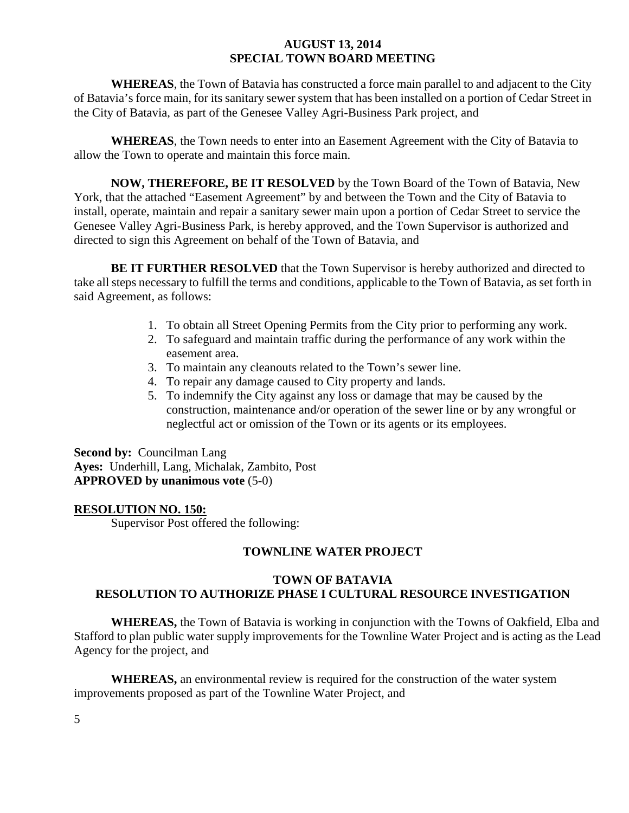**WHEREAS**, the Town of Batavia has constructed a force main parallel to and adjacent to the City of Batavia's force main, for its sanitary sewer system that has been installed on a portion of Cedar Street in the City of Batavia, as part of the Genesee Valley Agri-Business Park project, and

**WHEREAS**, the Town needs to enter into an Easement Agreement with the City of Batavia to allow the Town to operate and maintain this force main.

**NOW, THEREFORE, BE IT RESOLVED** by the Town Board of the Town of Batavia, New York, that the attached "Easement Agreement" by and between the Town and the City of Batavia to install, operate, maintain and repair a sanitary sewer main upon a portion of Cedar Street to service the Genesee Valley Agri-Business Park, is hereby approved, and the Town Supervisor is authorized and directed to sign this Agreement on behalf of the Town of Batavia, and

**BE IT FURTHER RESOLVED** that the Town Supervisor is hereby authorized and directed to take all steps necessary to fulfill the terms and conditions, applicable to the Town of Batavia, as set forth in said Agreement, as follows:

- 1. To obtain all Street Opening Permits from the City prior to performing any work.
- 2. To safeguard and maintain traffic during the performance of any work within the easement area.
- 3. To maintain any cleanouts related to the Town's sewer line.
- 4. To repair any damage caused to City property and lands.
- 5. To indemnify the City against any loss or damage that may be caused by the construction, maintenance and/or operation of the sewer line or by any wrongful or neglectful act or omission of the Town or its agents or its employees.

**Second by:** Councilman Lang **Ayes:** Underhill, Lang, Michalak, Zambito, Post **APPROVED by unanimous vote** (5-0)

## **RESOLUTION NO. 150:**

Supervisor Post offered the following:

## **TOWNLINE WATER PROJECT**

# **TOWN OF BATAVIA RESOLUTION TO AUTHORIZE PHASE I CULTURAL RESOURCE INVESTIGATION**

**WHEREAS,** the Town of Batavia is working in conjunction with the Towns of Oakfield, Elba and Stafford to plan public water supply improvements for the Townline Water Project and is acting as the Lead Agency for the project, and

**WHEREAS,** an environmental review is required for the construction of the water system improvements proposed as part of the Townline Water Project, and